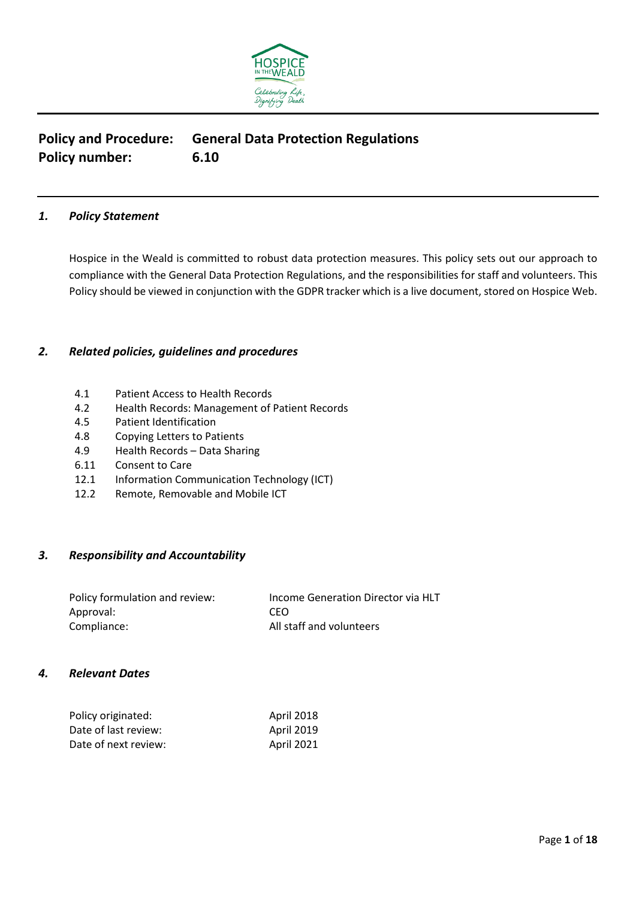

# **Policy and Procedure: General Data Protection Regulations Policy number: 6.10**

# *1. Policy Statement*

Hospice in the Weald is committed to robust data protection measures. This policy sets out our approach to compliance with the General Data Protection Regulations, and the responsibilities for staff and volunteers. This Policy should be viewed in conjunction with the GDPR tracker which is a live document, stored on Hospice Web.

# *2. Related policies, guidelines and procedures*

- 4.1 Patient Access to Health Records
- 4.2 Health Records: Management of Patient Records
- 4.5 Patient Identification
- 4.8 Copying Letters to Patients
- 4.9 Health Records Data Sharing
- 6.11 Consent to Care
- 12.1 Information Communication Technology (ICT)
- 12.2 Remote, Removable and Mobile ICT

# *3. Responsibility and Accountability*

| Policy formulation and review: | Income Generation Director via HLT |
|--------------------------------|------------------------------------|
| Approval:                      | CFO.                               |
| Compliance:                    | All staff and volunteers           |

#### *4. Relevant Dates*

| Policy originated:   | April 2018 |
|----------------------|------------|
| Date of last review: | April 2019 |
| Date of next review: | April 2021 |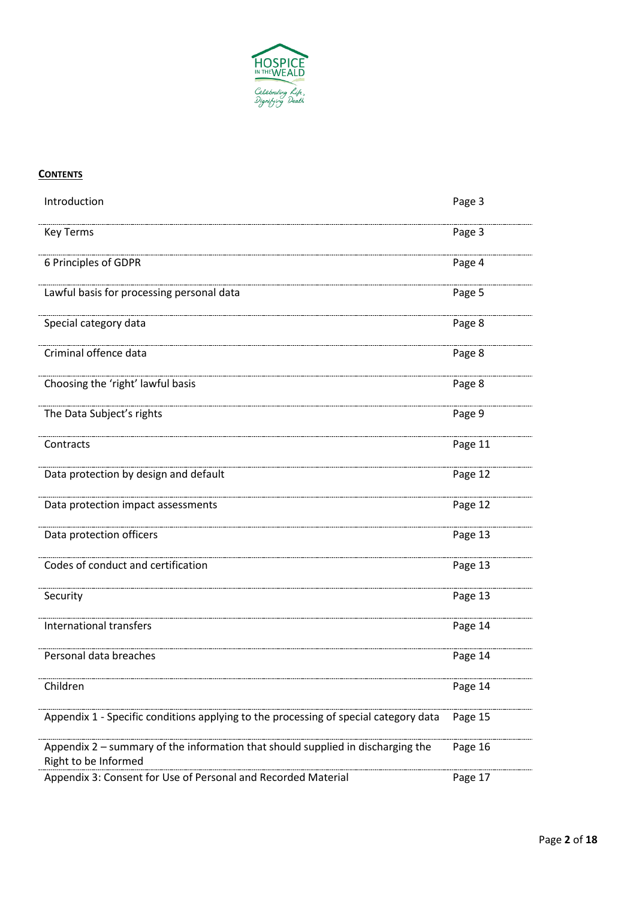

# **CONTENTS**

| Introduction                                                                                            | Page 3  |
|---------------------------------------------------------------------------------------------------------|---------|
| <b>Key Terms</b>                                                                                        | Page 3  |
| 6 Principles of GDPR                                                                                    | Page 4  |
| Lawful basis for processing personal data                                                               | Page 5  |
| Special category data                                                                                   | Page 8  |
| Criminal offence data                                                                                   | Page 8  |
| Choosing the 'right' lawful basis                                                                       | Page 8  |
| The Data Subject's rights                                                                               | Page 9  |
| Contracts                                                                                               | Page 11 |
| Data protection by design and default                                                                   | Page 12 |
| Data protection impact assessments                                                                      | Page 12 |
| Data protection officers                                                                                | Page 13 |
| Codes of conduct and certification                                                                      | Page 13 |
| Security                                                                                                | Page 13 |
| International transfers                                                                                 | Page 14 |
| Personal data breaches                                                                                  | Page 14 |
| Children                                                                                                | Page 14 |
| Appendix 1 - Specific conditions applying to the processing of special category data                    | Page 15 |
| Appendix 2 - summary of the information that should supplied in discharging the<br>Right to be Informed | Page 16 |
| Appendix 3: Consent for Use of Personal and Recorded Material                                           | Page 17 |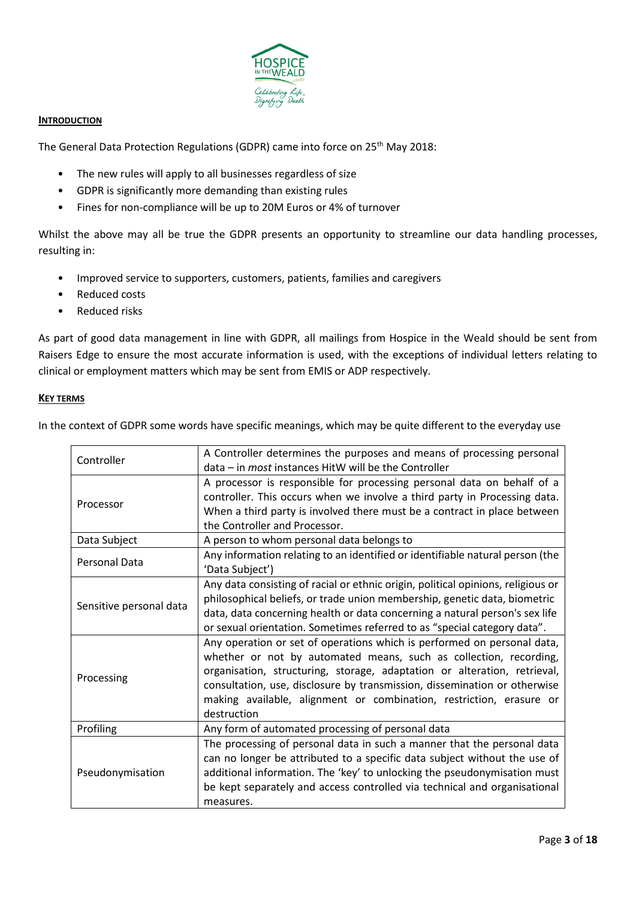

#### **INTRODUCTION**

The General Data Protection Regulations (GDPR) came into force on 25<sup>th</sup> May 2018:

- The new rules will apply to all businesses regardless of size
- GDPR is significantly more demanding than existing rules
- Fines for non-compliance will be up to 20M Euros or 4% of turnover

Whilst the above may all be true the GDPR presents an opportunity to streamline our data handling processes, resulting in:

- Improved service to supporters, customers, patients, families and caregivers
- Reduced costs
- Reduced risks

As part of good data management in line with GDPR, all mailings from Hospice in the Weald should be sent from Raisers Edge to ensure the most accurate information is used, with the exceptions of individual letters relating to clinical or employment matters which may be sent from EMIS or ADP respectively.

#### **KEY TERMS**

In the context of GDPR some words have specific meanings, which may be quite different to the everyday use

| Controller              | A Controller determines the purposes and means of processing personal<br>data - in most instances HitW will be the Controller                                                                                                                                                                                                                                                               |  |
|-------------------------|---------------------------------------------------------------------------------------------------------------------------------------------------------------------------------------------------------------------------------------------------------------------------------------------------------------------------------------------------------------------------------------------|--|
| Processor               | A processor is responsible for processing personal data on behalf of a<br>controller. This occurs when we involve a third party in Processing data.<br>When a third party is involved there must be a contract in place between<br>the Controller and Processor.                                                                                                                            |  |
| Data Subject            | A person to whom personal data belongs to                                                                                                                                                                                                                                                                                                                                                   |  |
| Personal Data           | Any information relating to an identified or identifiable natural person (the<br>'Data Subject')                                                                                                                                                                                                                                                                                            |  |
| Sensitive personal data | Any data consisting of racial or ethnic origin, political opinions, religious or<br>philosophical beliefs, or trade union membership, genetic data, biometric<br>data, data concerning health or data concerning a natural person's sex life<br>or sexual orientation. Sometimes referred to as "special category data".                                                                    |  |
| Processing              | Any operation or set of operations which is performed on personal data,<br>whether or not by automated means, such as collection, recording,<br>organisation, structuring, storage, adaptation or alteration, retrieval,<br>consultation, use, disclosure by transmission, dissemination or otherwise<br>making available, alignment or combination, restriction, erasure or<br>destruction |  |
| Profiling               | Any form of automated processing of personal data                                                                                                                                                                                                                                                                                                                                           |  |
| Pseudonymisation        | The processing of personal data in such a manner that the personal data<br>can no longer be attributed to a specific data subject without the use of<br>additional information. The 'key' to unlocking the pseudonymisation must<br>be kept separately and access controlled via technical and organisational<br>measures.                                                                  |  |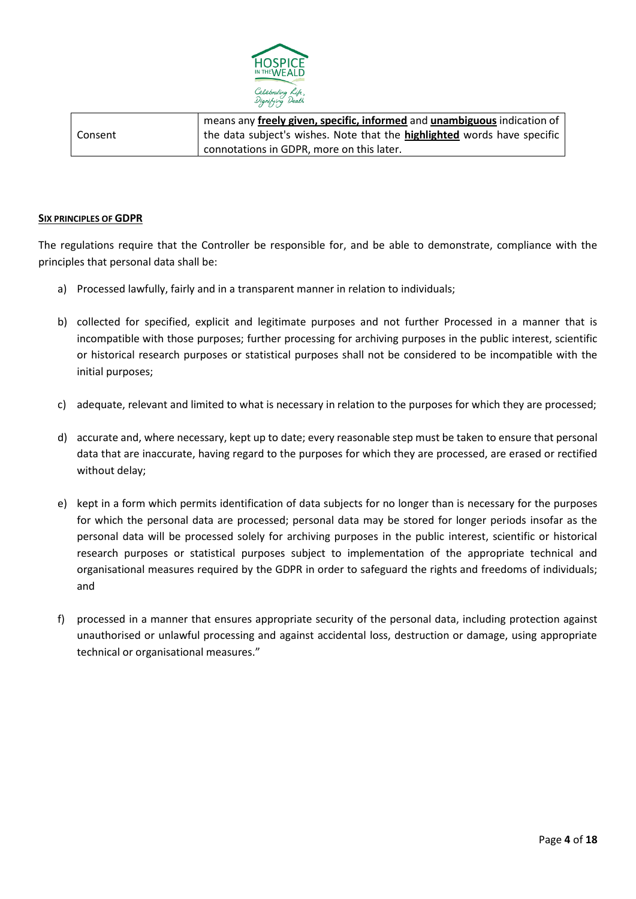

|         | means any freely given, specific, informed and unambiguous indication of |  |
|---------|--------------------------------------------------------------------------|--|
| Consent | the data subject's wishes. Note that the highlighted words have specific |  |
|         | connotations in GDPR, more on this later.                                |  |

#### **SIX PRINCIPLES OF GDPR**

The regulations require that the Controller be responsible for, and be able to demonstrate, compliance with the principles that personal data shall be:

- a) Processed lawfully, fairly and in a transparent manner in relation to individuals;
- b) collected for specified, explicit and legitimate purposes and not further Processed in a manner that is incompatible with those purposes; further processing for archiving purposes in the public interest, scientific or historical research purposes or statistical purposes shall not be considered to be incompatible with the initial purposes;
- c) adequate, relevant and limited to what is necessary in relation to the purposes for which they are processed;
- d) accurate and, where necessary, kept up to date; every reasonable step must be taken to ensure that personal data that are inaccurate, having regard to the purposes for which they are processed, are erased or rectified without delay;
- e) kept in a form which permits identification of data subjects for no longer than is necessary for the purposes for which the personal data are processed; personal data may be stored for longer periods insofar as the personal data will be processed solely for archiving purposes in the public interest, scientific or historical research purposes or statistical purposes subject to implementation of the appropriate technical and organisational measures required by the GDPR in order to safeguard the rights and freedoms of individuals; and
- f) processed in a manner that ensures appropriate security of the personal data, including protection against unauthorised or unlawful processing and against accidental loss, destruction or damage, using appropriate technical or organisational measures."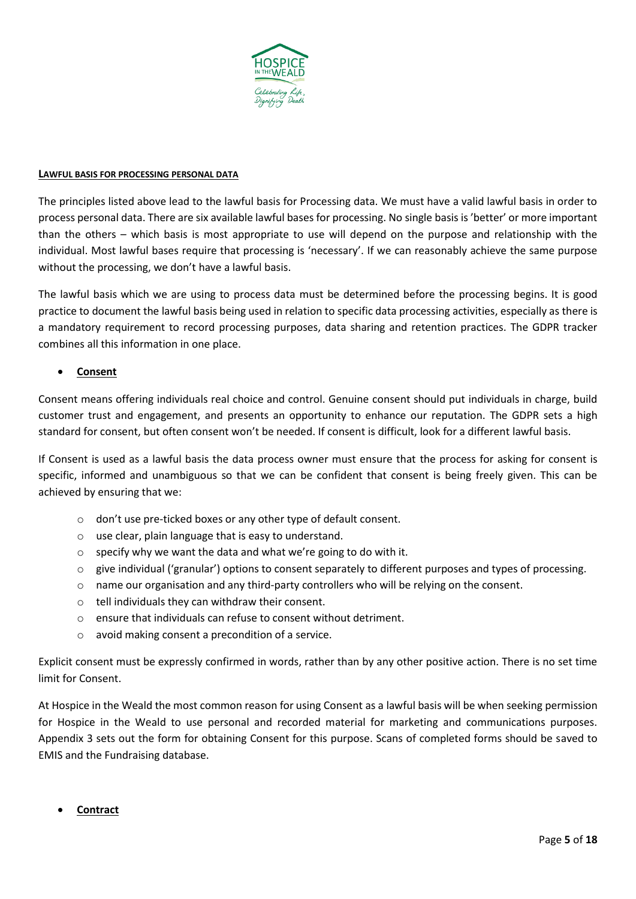

#### **LAWFUL BASIS FOR PROCESSING PERSONAL DATA**

The principles listed above lead to the lawful basis for Processing data. We must have a valid lawful basis in order to process personal data. There are six available lawful bases for processing. No single basis is 'better' or more important than the others – which basis is most appropriate to use will depend on the purpose and relationship with the individual. Most lawful bases require that processing is 'necessary'. If we can reasonably achieve the same purpose without the processing, we don't have a lawful basis.

The lawful basis which we are using to process data must be determined before the processing begins. It is good practice to document the lawful basis being used in relation to specific data processing activities, especially as there is a mandatory requirement to record processing purposes, data sharing and retention practices. The GDPR tracker combines all this information in one place.

#### • **Consent**

Consent means offering individuals real choice and control. Genuine consent should put individuals in charge, build customer trust and engagement, and presents an opportunity to enhance our reputation. The GDPR sets a high standard for consent, but often consent won't be needed. If consent is difficult, look for a different lawful basis.

If Consent is used as a lawful basis the data process owner must ensure that the process for asking for consent is specific, informed and unambiguous so that we can be confident that consent is being freely given. This can be achieved by ensuring that we:

- o don't use pre-ticked boxes or any other type of default consent.
- o use clear, plain language that is easy to understand.
- o specify why we want the data and what we're going to do with it.
- $\circ$  give individual ('granular') options to consent separately to different purposes and types of processing.
- o name our organisation and any third-party controllers who will be relying on the consent.
- o tell individuals they can withdraw their consent.
- o ensure that individuals can refuse to consent without detriment.
- o avoid making consent a precondition of a service.

Explicit consent must be expressly confirmed in words, rather than by any other positive action. There is no set time limit for Consent.

At Hospice in the Weald the most common reason for using Consent as a lawful basis will be when seeking permission for Hospice in the Weald to use personal and recorded material for marketing and communications purposes. Appendix 3 sets out the form for obtaining Consent for this purpose. Scans of completed forms should be saved to EMIS and the Fundraising database.

• **Contract**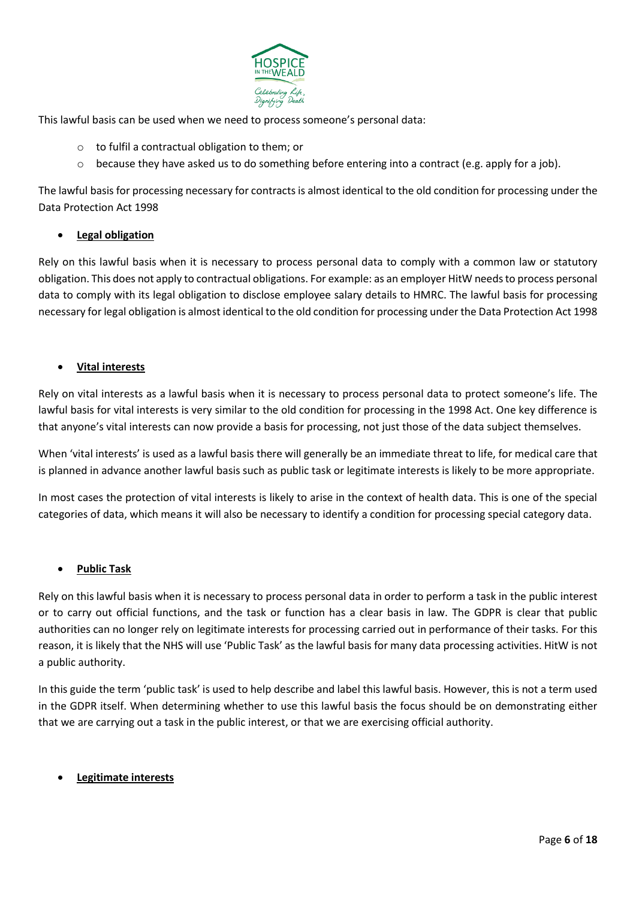

This lawful basis can be used when we need to process someone's personal data:

- o to fulfil a contractual obligation to them; or
- $\circ$  because they have asked us to do something before entering into a contract (e.g. apply for a job).

The lawful basis for processing necessary for contracts is almost identical to the old condition for processing under the Data Protection Act 1998

# • **Legal obligation**

Rely on this lawful basis when it is necessary to process personal data to comply with a common law or statutory obligation. This does not apply to contractual obligations. For example: as an employer HitW needs to process personal data to comply with its legal obligation to disclose employee salary details to HMRC. The lawful basis for processing necessary for legal obligation is almost identical to the old condition for processing under the Data Protection Act 1998

#### • **Vital interests**

Rely on vital interests as a lawful basis when it is necessary to process personal data to protect someone's life. The lawful basis for vital interests is very similar to the old condition for processing in the 1998 Act. One key difference is that anyone's vital interests can now provide a basis for processing, not just those of the data subject themselves.

When 'vital interests' is used as a lawful basis there will generally be an immediate threat to life, for medical care that is planned in advance another lawful basis such as public task or legitimate interests is likely to be more appropriate.

In most cases the protection of vital interests is likely to arise in the context of health data. This is one of the special categories of data, which means it will also be necessary to identify a condition for processing special category data.

#### • **Public Task**

Rely on this lawful basis when it is necessary to process personal data in order to perform a task in the public interest or to carry out official functions, and the task or function has a clear basis in law. The GDPR is clear that public authorities can no longer rely on legitimate interests for processing carried out in performance of their tasks. For this reason, it is likely that the NHS will use 'Public Task' as the lawful basis for many data processing activities. HitW is not a public authority.

In this guide the term 'public task' is used to help describe and label this lawful basis. However, this is not a term used in the GDPR itself. When determining whether to use this lawful basis the focus should be on demonstrating either that we are carrying out a task in the public interest, or that we are exercising official authority.

#### • **Legitimate interests**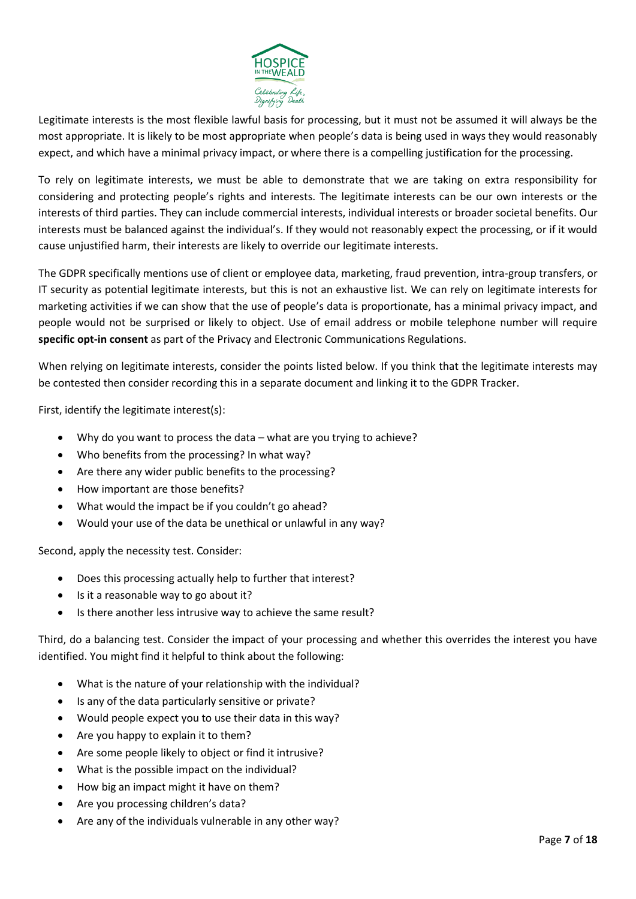

Legitimate interests is the most flexible lawful basis for processing, but it must not be assumed it will always be the most appropriate. It is likely to be most appropriate when people's data is being used in ways they would reasonably expect, and which have a minimal privacy impact, or where there is a compelling justification for the processing.

To rely on legitimate interests, we must be able to demonstrate that we are taking on extra responsibility for considering and protecting people's rights and interests. The legitimate interests can be our own interests or the interests of third parties. They can include commercial interests, individual interests or broader societal benefits. Our interests must be balanced against the individual's. If they would not reasonably expect the processing, or if it would cause unjustified harm, their interests are likely to override our legitimate interests.

The GDPR specifically mentions use of client or employee data, marketing, fraud prevention, intra-group transfers, or IT security as potential legitimate interests, but this is not an exhaustive list. We can rely on legitimate interests for marketing activities if we can show that the use of people's data is proportionate, has a minimal privacy impact, and people would not be surprised or likely to object. Use of email address or mobile telephone number will require **specific opt-in consent** as part of the Privacy and Electronic Communications Regulations.

When relying on legitimate interests, consider the points listed below. If you think that the legitimate interests may be contested then consider recording this in a separate document and linking it to the GDPR Tracker.

First, identify the legitimate interest(s):

- Why do you want to process the data what are you trying to achieve?
- Who benefits from the processing? In what way?
- Are there any wider public benefits to the processing?
- How important are those benefits?
- What would the impact be if you couldn't go ahead?
- Would your use of the data be unethical or unlawful in any way?

Second, apply the necessity test. Consider:

- Does this processing actually help to further that interest?
- Is it a reasonable way to go about it?
- Is there another less intrusive way to achieve the same result?

Third, do a balancing test. Consider the impact of your processing and whether this overrides the interest you have identified. You might find it helpful to think about the following:

- What is the nature of your relationship with the individual?
- Is any of the data particularly sensitive or private?
- Would people expect you to use their data in this way?
- Are you happy to explain it to them?
- Are some people likely to object or find it intrusive?
- What is the possible impact on the individual?
- How big an impact might it have on them?
- Are you processing children's data?
- Are any of the individuals vulnerable in any other way?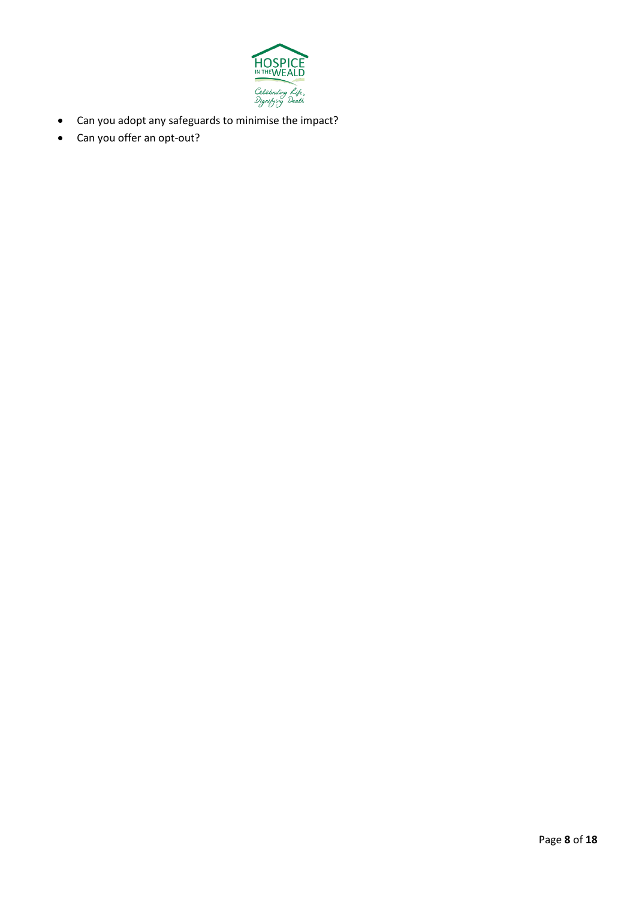

- Can you adopt any safeguards to minimise the impact?
- Can you offer an opt-out?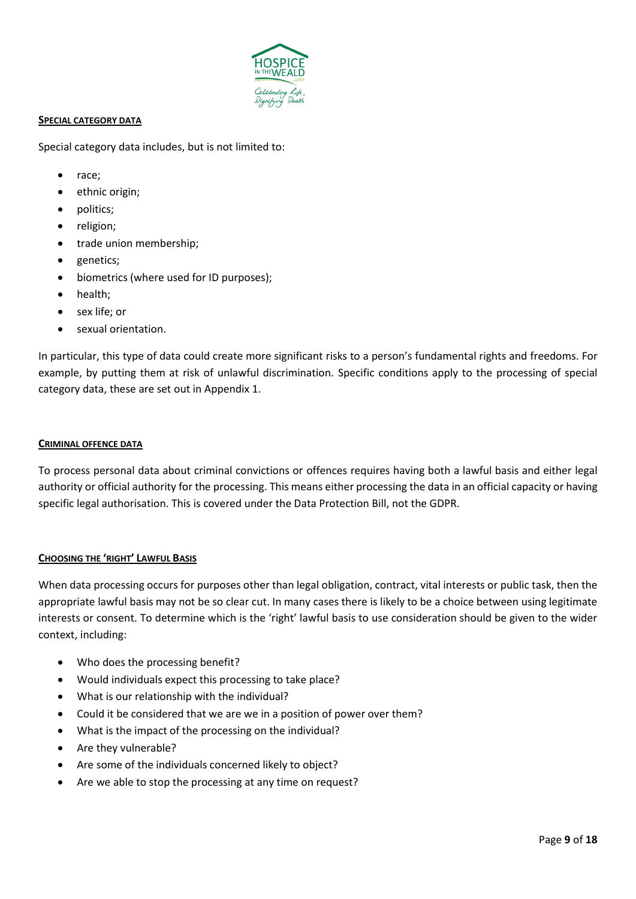

#### **SPECIAL CATEGORY DATA**

Special category data includes, but is not limited to:

- race;
- ethnic origin;
- politics;
- religion;
- trade union membership;
- genetics;
- biometrics (where used for ID purposes);
- health;
- sex life; or
- sexual orientation.

In particular, this type of data could create more significant risks to a person's fundamental rights and freedoms. For example, by putting them at risk of unlawful discrimination. Specific conditions apply to the processing of special category data, these are set out in Appendix 1.

#### **CRIMINAL OFFENCE DATA**

To process personal data about criminal convictions or offences requires having both a lawful basis and either legal authority or official authority for the processing. This means either processing the data in an official capacity or having specific legal authorisation. This is covered under the Data Protection Bill, not the GDPR.

#### **CHOOSING THE 'RIGHT' LAWFUL BASIS**

When data processing occurs for purposes other than legal obligation, contract, vital interests or public task, then the appropriate lawful basis may not be so clear cut. In many cases there is likely to be a choice between using legitimate interests or consent. To determine which is the 'right' lawful basis to use consideration should be given to the wider context, including:

- Who does the processing benefit?
- Would individuals expect this processing to take place?
- What is our relationship with the individual?
- Could it be considered that we are we in a position of power over them?
- What is the impact of the processing on the individual?
- Are they vulnerable?
- Are some of the individuals concerned likely to object?
- Are we able to stop the processing at any time on request?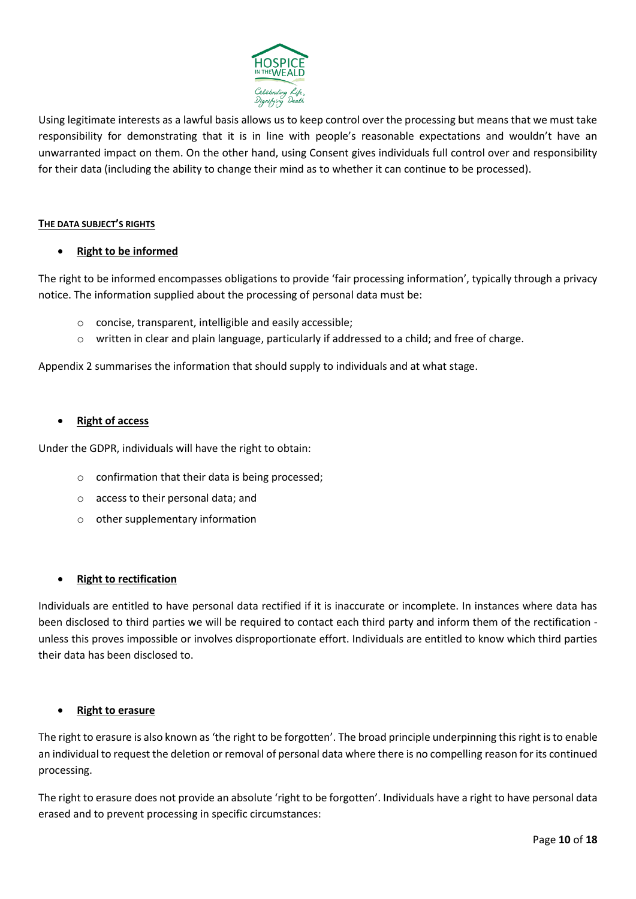

Using legitimate interests as a lawful basis allows us to keep control over the processing but means that we must take responsibility for demonstrating that it is in line with people's reasonable expectations and wouldn't have an unwarranted impact on them. On the other hand, using Consent gives individuals full control over and responsibility for their data (including the ability to change their mind as to whether it can continue to be processed).

#### **THE DATA SUBJECT'S RIGHTS**

# • **Right to be informed**

The right to be informed encompasses obligations to provide 'fair processing information', typically through a privacy notice. The information supplied about the processing of personal data must be:

- o concise, transparent, intelligible and easily accessible;
- o written in clear and plain language, particularly if addressed to a child; and free of charge.

Appendix 2 summarises the information that should supply to individuals and at what stage.

#### • **Right of access**

Under the GDPR, individuals will have the right to obtain:

- o confirmation that their data is being processed;
- o access to their personal data; and
- o other supplementary information

#### • **Right to rectification**

Individuals are entitled to have personal data rectified if it is inaccurate or incomplete. In instances where data has been disclosed to third parties we will be required to contact each third party and inform them of the rectification unless this proves impossible or involves disproportionate effort. Individuals are entitled to know which third parties their data has been disclosed to.

#### • **Right to erasure**

The right to erasure is also known as 'the right to be forgotten'. The broad principle underpinning this right is to enable an individual to request the deletion or removal of personal data where there is no compelling reason for its continued processing.

The right to erasure does not provide an absolute 'right to be forgotten'. Individuals have a right to have personal data erased and to prevent processing in specific circumstances: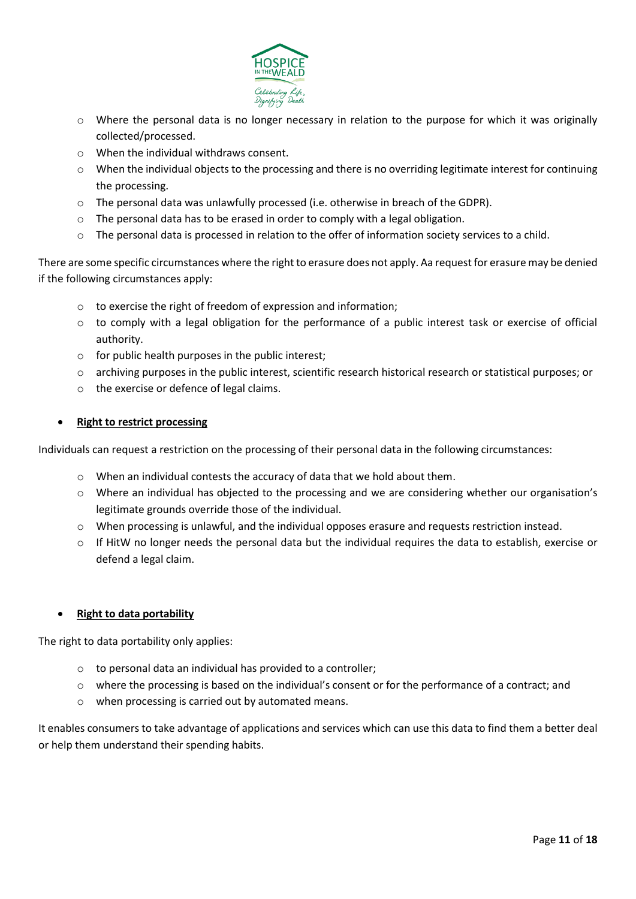

- o Where the personal data is no longer necessary in relation to the purpose for which it was originally collected/processed.
- o When the individual withdraws consent.
- o When the individual objects to the processing and there is no overriding legitimate interest for continuing the processing.
- o The personal data was unlawfully processed (i.e. otherwise in breach of the GDPR).
- $\circ$  The personal data has to be erased in order to comply with a legal obligation.
- $\circ$  The personal data is processed in relation to the offer of information society services to a child.

There are some specific circumstances where the right to erasure does not apply. Aa request for erasure may be denied if the following circumstances apply:

- o to exercise the right of freedom of expression and information;
- $\circ$  to comply with a legal obligation for the performance of a public interest task or exercise of official authority.
- o for public health purposes in the public interest;
- o archiving purposes in the public interest, scientific research historical research or statistical purposes; or
- o the exercise or defence of legal claims.

# • **Right to restrict processing**

Individuals can request a restriction on the processing of their personal data in the following circumstances:

- o When an individual contests the accuracy of data that we hold about them.
- o Where an individual has objected to the processing and we are considering whether our organisation's legitimate grounds override those of the individual.
- o When processing is unlawful, and the individual opposes erasure and requests restriction instead.
- $\circ$  If HitW no longer needs the personal data but the individual requires the data to establish, exercise or defend a legal claim.

#### • **Right to data portability**

The right to data portability only applies:

- o to personal data an individual has provided to a controller;
- $\circ$  where the processing is based on the individual's consent or for the performance of a contract; and
- o when processing is carried out by automated means.

It enables consumers to take advantage of applications and services which can use this data to find them a better deal or help them understand their spending habits.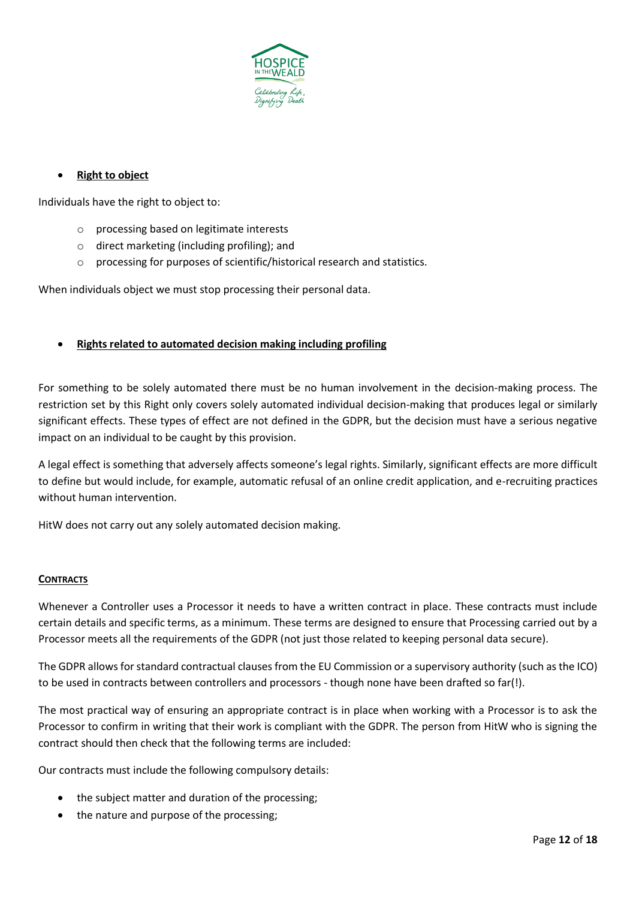

# • **Right to object**

Individuals have the right to object to:

- o processing based on legitimate interests
- o direct marketing (including profiling); and
- o processing for purposes of scientific/historical research and statistics.

When individuals object we must stop processing their personal data.

# • **Rights related to automated decision making including profiling**

For something to be solely automated there must be no human involvement in the decision-making process. The restriction set by this Right only covers solely automated individual decision-making that produces legal or similarly significant effects. These types of effect are not defined in the GDPR, but the decision must have a serious negative impact on an individual to be caught by this provision.

A legal effect is something that adversely affects someone's legal rights. Similarly, significant effects are more difficult to define but would include, for example, automatic refusal of an online credit application, and e-recruiting practices without human intervention.

HitW does not carry out any solely automated decision making.

#### **CONTRACTS**

Whenever a Controller uses a Processor it needs to have a written contract in place. These contracts must include certain details and specific terms, as a minimum. These terms are designed to ensure that Processing carried out by a Processor meets all the requirements of the GDPR (not just those related to keeping personal data secure).

The GDPR allows for standard contractual clauses from the EU Commission or a supervisory authority (such as the ICO) to be used in contracts between controllers and processors - though none have been drafted so far(!).

The most practical way of ensuring an appropriate contract is in place when working with a Processor is to ask the Processor to confirm in writing that their work is compliant with the GDPR. The person from HitW who is signing the contract should then check that the following terms are included:

Our contracts must include the following compulsory details:

- the subject matter and duration of the processing;
- the nature and purpose of the processing;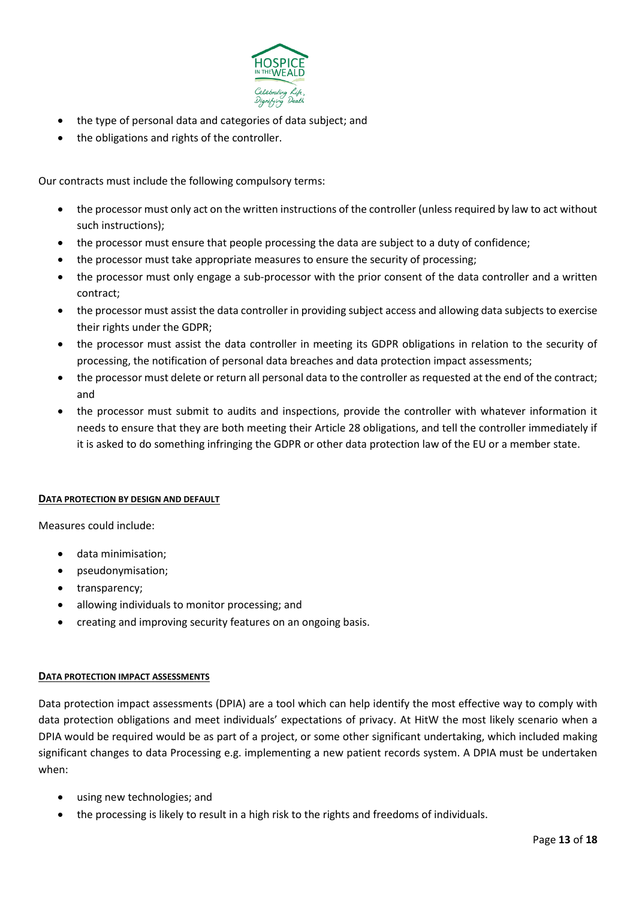

- the type of personal data and categories of data subject; and
- the obligations and rights of the controller.

Our contracts must include the following compulsory terms:

- the processor must only act on the written instructions of the controller (unless required by law to act without such instructions);
- the processor must ensure that people processing the data are subject to a duty of confidence;
- the processor must take appropriate measures to ensure the security of processing;
- the processor must only engage a sub-processor with the prior consent of the data controller and a written contract;
- the processor must assist the data controller in providing subject access and allowing data subjects to exercise their rights under the GDPR;
- the processor must assist the data controller in meeting its GDPR obligations in relation to the security of processing, the notification of personal data breaches and data protection impact assessments;
- the processor must delete or return all personal data to the controller as requested at the end of the contract; and
- the processor must submit to audits and inspections, provide the controller with whatever information it needs to ensure that they are both meeting their Article 28 obligations, and tell the controller immediately if it is asked to do something infringing the GDPR or other data protection law of the EU or a member state.

#### **DATA PROTECTION BY DESIGN AND DEFAULT**

Measures could include:

- data minimisation;
- pseudonymisation;
- transparency;
- allowing individuals to monitor processing; and
- creating and improving security features on an ongoing basis.

#### **DATA PROTECTION IMPACT ASSESSMENTS**

Data protection impact assessments (DPIA) are a tool which can help identify the most effective way to comply with data protection obligations and meet individuals' expectations of privacy. At HitW the most likely scenario when a DPIA would be required would be as part of a project, or some other significant undertaking, which included making significant changes to data Processing e.g. implementing a new patient records system. A DPIA must be undertaken when:

- using new technologies; and
- the processing is likely to result in a high risk to the rights and freedoms of individuals.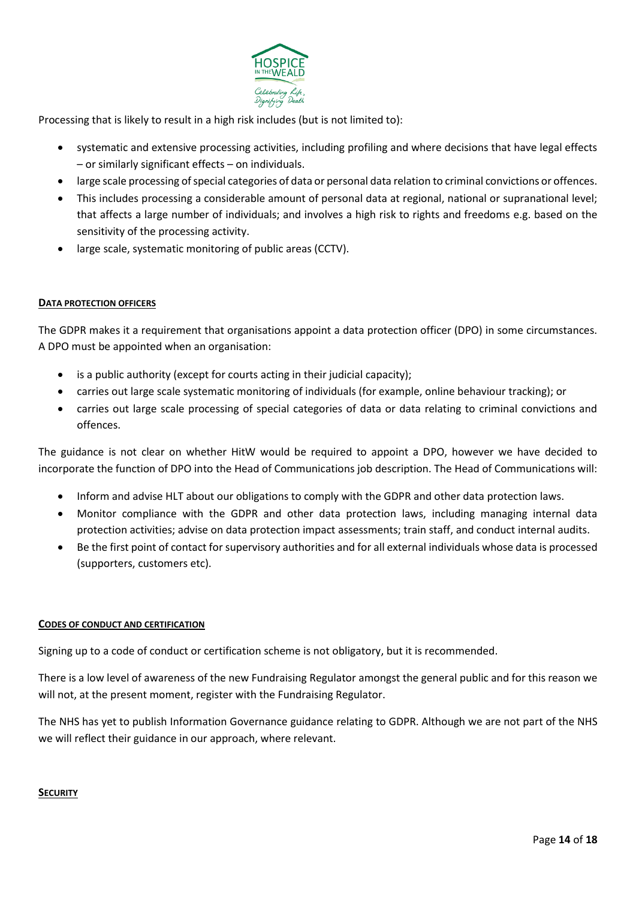

Processing that is likely to result in a high risk includes (but is not limited to):

- systematic and extensive processing activities, including profiling and where decisions that have legal effects – or similarly significant effects – on individuals.
- large scale processing of special categories of data or personal data relation to criminal convictions or offences.
- This includes processing a considerable amount of personal data at regional, national or supranational level; that affects a large number of individuals; and involves a high risk to rights and freedoms e.g. based on the sensitivity of the processing activity.
- large scale, systematic monitoring of public areas (CCTV).

#### **DATA PROTECTION OFFICERS**

The GDPR makes it a requirement that organisations appoint a data protection officer (DPO) in some circumstances. A DPO must be appointed when an organisation:

- is a public authority (except for courts acting in their judicial capacity);
- carries out large scale systematic monitoring of individuals (for example, online behaviour tracking); or
- carries out large scale processing of special categories of data or data relating to criminal convictions and offences.

The guidance is not clear on whether HitW would be required to appoint a DPO, however we have decided to incorporate the function of DPO into the Head of Communications job description. The Head of Communications will:

- Inform and advise HLT about our obligations to comply with the GDPR and other data protection laws.
- Monitor compliance with the GDPR and other data protection laws, including managing internal data protection activities; advise on data protection impact assessments; train staff, and conduct internal audits.
- Be the first point of contact for supervisory authorities and for all external individuals whose data is processed (supporters, customers etc).

#### **CODES OF CONDUCT AND CERTIFICATION**

Signing up to a code of conduct or certification scheme is not obligatory, but it is recommended.

There is a low level of awareness of the new Fundraising Regulator amongst the general public and for this reason we will not, at the present moment, register with the Fundraising Regulator.

The NHS has yet to publish Information Governance guidance relating to GDPR. Although we are not part of the NHS we will reflect their guidance in our approach, where relevant.

#### **SECURITY**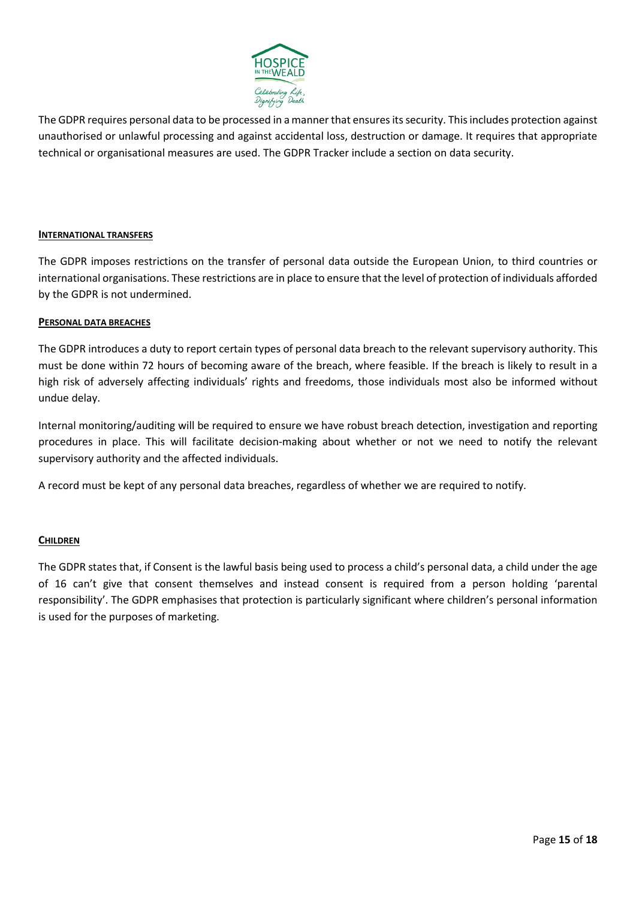

The GDPR requires personal data to be processed in a manner that ensures its security. This includes protection against unauthorised or unlawful processing and against accidental loss, destruction or damage. It requires that appropriate technical or organisational measures are used. The GDPR Tracker include a section on data security.

#### **INTERNATIONAL TRANSFERS**

The GDPR imposes restrictions on the transfer of personal data outside the European Union, to third countries or international organisations. These restrictions are in place to ensure that the level of protection of individuals afforded by the GDPR is not undermined.

#### **PERSONAL DATA BREACHES**

The GDPR introduces a duty to report certain types of personal data breach to the relevant supervisory authority. This must be done within 72 hours of becoming aware of the breach, where feasible. If the breach is likely to result in a high risk of adversely affecting individuals' rights and freedoms, those individuals most also be informed without undue delay.

Internal monitoring/auditing will be required to ensure we have robust breach detection, investigation and reporting procedures in place. This will facilitate decision-making about whether or not we need to notify the relevant supervisory authority and the affected individuals.

A record must be kept of any personal data breaches, regardless of whether we are required to notify.

#### **CHILDREN**

The GDPR states that, if Consent is the lawful basis being used to process a child's personal data, a child under the age of 16 can't give that consent themselves and instead consent is required from a person holding 'parental responsibility'. The GDPR emphasises that protection is particularly significant where children's personal information is used for the purposes of marketing.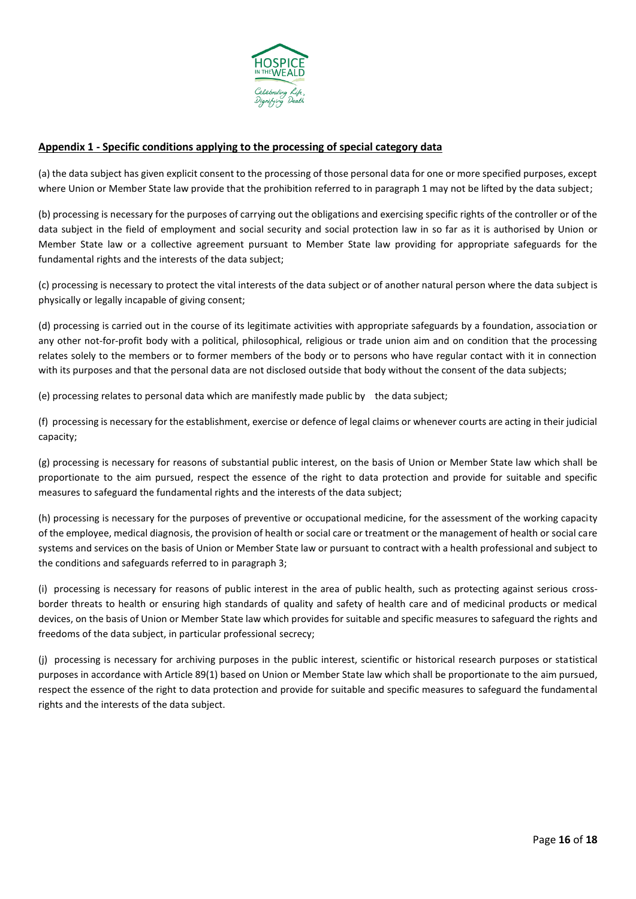

#### **Appendix 1 - Specific conditions applying to the processing of special category data**

(a) the data subject has given explicit consent to the processing of those personal data for one or more specified purposes, except where Union or Member State law provide that the prohibition referred to in paragraph 1 may not be lifted by the data subject;

(b) processing is necessary for the purposes of carrying out the obligations and exercising specific rights of the controller or of the data subject in the field of employment and social security and social protection law in so far as it is authorised by Union or Member State law or a collective agreement pursuant to Member State law providing for appropriate safeguards for the fundamental rights and the interests of the data subject;

(c) processing is necessary to protect the vital interests of the data subject or of another natural person where the data subject is physically or legally incapable of giving consent;

(d) processing is carried out in the course of its legitimate activities with appropriate safeguards by a foundation, association or any other not-for-profit body with a political, philosophical, religious or trade union aim and on condition that the processing relates solely to the members or to former members of the body or to persons who have regular contact with it in connection with its purposes and that the personal data are not disclosed outside that body without the consent of the data subjects;

(e) processing relates to personal data which are manifestly made public by the data subject;

(f) processing is necessary for the establishment, exercise or defence of legal claims or whenever courts are acting in their judicial capacity;

(g) processing is necessary for reasons of substantial public interest, on the basis of Union or Member State law which shall be proportionate to the aim pursued, respect the essence of the right to data protection and provide for suitable and specific measures to safeguard the fundamental rights and the interests of the data subject;

(h) processing is necessary for the purposes of preventive or occupational medicine, for the assessment of the working capacity of the employee, medical diagnosis, the provision of health or social care or treatment or the management of health or social care systems and services on the basis of Union or Member State law or pursuant to contract with a health professional and subject to the conditions and safeguards referred to in paragraph 3;

(i) processing is necessary for reasons of public interest in the area of public health, such as protecting against serious crossborder threats to health or ensuring high standards of quality and safety of health care and of medicinal products or medical devices, on the basis of Union or Member State law which provides for suitable and specific measures to safeguard the rights and freedoms of the data subject, in particular professional secrecy;

(j) processing is necessary for archiving purposes in the public interest, scientific or historical research purposes or statistical purposes in accordance with Article 89(1) based on Union or Member State law which shall be proportionate to the aim pursued, respect the essence of the right to data protection and provide for suitable and specific measures to safeguard the fundamental rights and the interests of the data subject.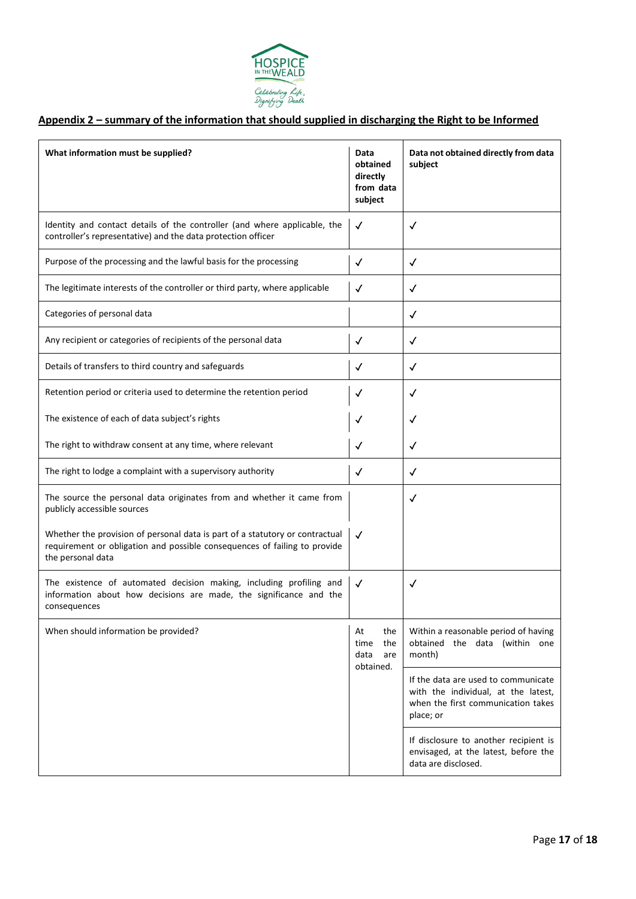

# **Appendix 2 – summary of the information that should supplied in discharging the Right to be Informed**

| What information must be supplied?                                                                                                                                             | Data<br>obtained<br>directly<br>from data<br>subject | Data not obtained directly from data<br>subject                                                                               |
|--------------------------------------------------------------------------------------------------------------------------------------------------------------------------------|------------------------------------------------------|-------------------------------------------------------------------------------------------------------------------------------|
| Identity and contact details of the controller (and where applicable, the<br>controller's representative) and the data protection officer                                      | √                                                    | ✓                                                                                                                             |
| Purpose of the processing and the lawful basis for the processing                                                                                                              | $\checkmark$                                         | ✓                                                                                                                             |
| The legitimate interests of the controller or third party, where applicable                                                                                                    | √                                                    | √                                                                                                                             |
| Categories of personal data                                                                                                                                                    |                                                      | ✓                                                                                                                             |
| Any recipient or categories of recipients of the personal data                                                                                                                 | √                                                    | √                                                                                                                             |
| Details of transfers to third country and safeguards                                                                                                                           | √                                                    | ✓                                                                                                                             |
| Retention period or criteria used to determine the retention period                                                                                                            | ✓                                                    | $\checkmark$                                                                                                                  |
| The existence of each of data subject's rights                                                                                                                                 | $\checkmark$                                         | $\checkmark$                                                                                                                  |
| The right to withdraw consent at any time, where relevant                                                                                                                      | $\checkmark$                                         | $\checkmark$                                                                                                                  |
| The right to lodge a complaint with a supervisory authority                                                                                                                    | $\checkmark$                                         | $\checkmark$                                                                                                                  |
| The source the personal data originates from and whether it came from<br>publicly accessible sources                                                                           |                                                      | ✓                                                                                                                             |
| Whether the provision of personal data is part of a statutory or contractual<br>requirement or obligation and possible consequences of failing to provide<br>the personal data | $\checkmark$                                         |                                                                                                                               |
| The existence of automated decision making, including profiling and<br>information about how decisions are made, the significance and the<br>consequences                      | $\checkmark$                                         | ✓                                                                                                                             |
| When should information be provided?                                                                                                                                           |                                                      | Within a reasonable period of having<br>obtained the data (within one<br>month)                                               |
|                                                                                                                                                                                | obtained.                                            | If the data are used to communicate<br>with the individual, at the latest,<br>when the first communication takes<br>place; or |
|                                                                                                                                                                                |                                                      | If disclosure to another recipient is<br>envisaged, at the latest, before the<br>data are disclosed.                          |